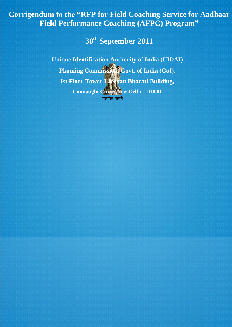**Corrigendum to the "RFP for Field Coaching Service for Aadhaar Field Performance Coaching (AFPC) Program"**

**30th September 2011**

**Unique Identification Authority of India (UIDAI)** Planning Commission, Govt. of India (GoI), **Ist Floor Tower I Jeevan Bharati Building, Connaught Circus,New Delhi - 110001**सत्यमेव जयते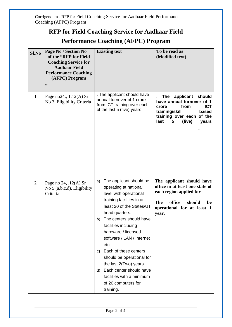# **RFP for Field Coaching Service for Aadhaar Field**

## **Performance Coaching (AFPC) Program**

| Sl.No          | Page No / Section No<br>of the "RFP for Field<br><b>Coaching Service for</b><br><b>Aadhaar Field</b><br><b>Performance Coaching</b><br>(AFPC) Program<br>,, | <b>Existing text</b>                                                                                                                                                                                                                                                                                                                                                                                                                                                      | To be read as<br>(Modified text)                                                                                                                                            |
|----------------|-------------------------------------------------------------------------------------------------------------------------------------------------------------|---------------------------------------------------------------------------------------------------------------------------------------------------------------------------------------------------------------------------------------------------------------------------------------------------------------------------------------------------------------------------------------------------------------------------------------------------------------------------|-----------------------------------------------------------------------------------------------------------------------------------------------------------------------------|
| $\mathbf{1}$   | Page no24:, $1.12(A)$ Sr<br>No 3, Eligibility Criteria                                                                                                      | . The applicant should have<br>annual turnover of 1 crore<br>from ICT training over each<br>of the last 5 (five) years                                                                                                                                                                                                                                                                                                                                                    | applicant should<br>The<br>have annual turnover of 1<br>from<br><b>ICT</b><br>crore<br>training/skill<br>based<br>training over each of the<br>(five)<br>last<br>5<br>years |
| $\overline{2}$ | Page no 24, .12(A) Sr<br>No $5$ (a,b,c,d), Eligibility<br>Criteria                                                                                          | The applicant should be<br>a)<br>operating at national<br>level with operational<br>training facilities in at<br>least 20 of the States/UT<br>head quarters.<br>The centers should have<br>b)<br>facilities including<br>hardware / licensed<br>software / LAN / Internet<br>etc.<br>Each of these centers<br>C)<br>should be operational for<br>the last 2(Two) years.<br>Each center should have<br>d)<br>facilities with a minimum<br>of 20 computers for<br>training. | The applicant should have<br>office in at least one state of<br>each region applied for<br>office<br><b>The</b><br>should<br>be<br>operational for at least 1<br>year.      |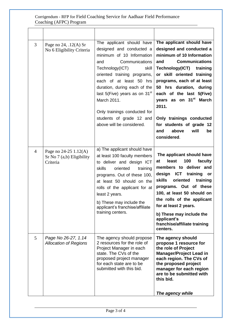#### Corrigendum - RFP for Field Coaching Service for Aadhaar Field Performance Coaching (AFPC) Program

| 3              | Page no $24$ , $.12(A)$ Sr<br>No 6 Eligibility Criteria        | The applicant should have<br>designed and conducted a<br>minimum of 10 Information<br>Communications<br>and<br>Technology(ICT)<br>skill<br>oriented training programs,<br>each of at least 50 hrs<br>duration, during each of the<br>last $5$ (Five) years as on 31 <sup>st</sup><br>March 2011.<br>Only trainings conducted for | The applicant should have<br>designed and conducted a<br>minimum of 10 Information<br><b>Communications</b><br>and<br>Technology(ICT)<br>training<br>or skill oriented training<br>programs, each of at least<br>50 hrs duration, during<br>each of the last 5(Five)<br>years as on 31 <sup>st</sup> March<br>2011.                                                           |
|----------------|----------------------------------------------------------------|----------------------------------------------------------------------------------------------------------------------------------------------------------------------------------------------------------------------------------------------------------------------------------------------------------------------------------|-------------------------------------------------------------------------------------------------------------------------------------------------------------------------------------------------------------------------------------------------------------------------------------------------------------------------------------------------------------------------------|
|                |                                                                | students of grade 12 and<br>above will be considered.                                                                                                                                                                                                                                                                            | Only trainings conducted<br>for students of grade 12<br>above<br>will<br>be<br>and<br>considered.                                                                                                                                                                                                                                                                             |
| $\overline{4}$ | Page no 24-25 1.12(A)<br>Sr No 7 (a,b) Eligibility<br>Criteria | a) The applicant should have<br>at least 100 faculty members<br>to deliver and design ICT<br>skills<br>oriented<br>training<br>programs. Out of these 100,<br>at least 50 should on the<br>rolls of the applicant for at<br>least 2 years.<br>b) These may include the<br>applicant's franchise/affiliate<br>training centers.   | The applicant should have<br>100<br>least<br>faculty<br>at<br>members to deliver and<br><b>ICT</b><br>design<br>training<br>or<br><b>skills</b><br>oriented<br>training<br>programs. Out of these<br>100, at least 50 should on<br>the rolls of the applicant<br>for at least 2 years.<br>b) These may include the<br>applicant's<br>franchise/affiliate training<br>centers. |
| 5              | Page No 26-27, 1.14<br><b>Allocation of Regions</b>            | The agency should propose<br>2 resources for the role of<br>Project Manager in each<br>state. The CVs of the<br>proposed project manager<br>for each state are to be<br>submitted with this bid.                                                                                                                                 | The agency should<br>propose 1 resource for<br>the role of Project<br><b>Manager/Project Lead in</b><br>each region. The CVs of<br>the proposed project<br>manager for each region<br>are to be submitted with<br>this bid.<br>The agency while                                                                                                                               |